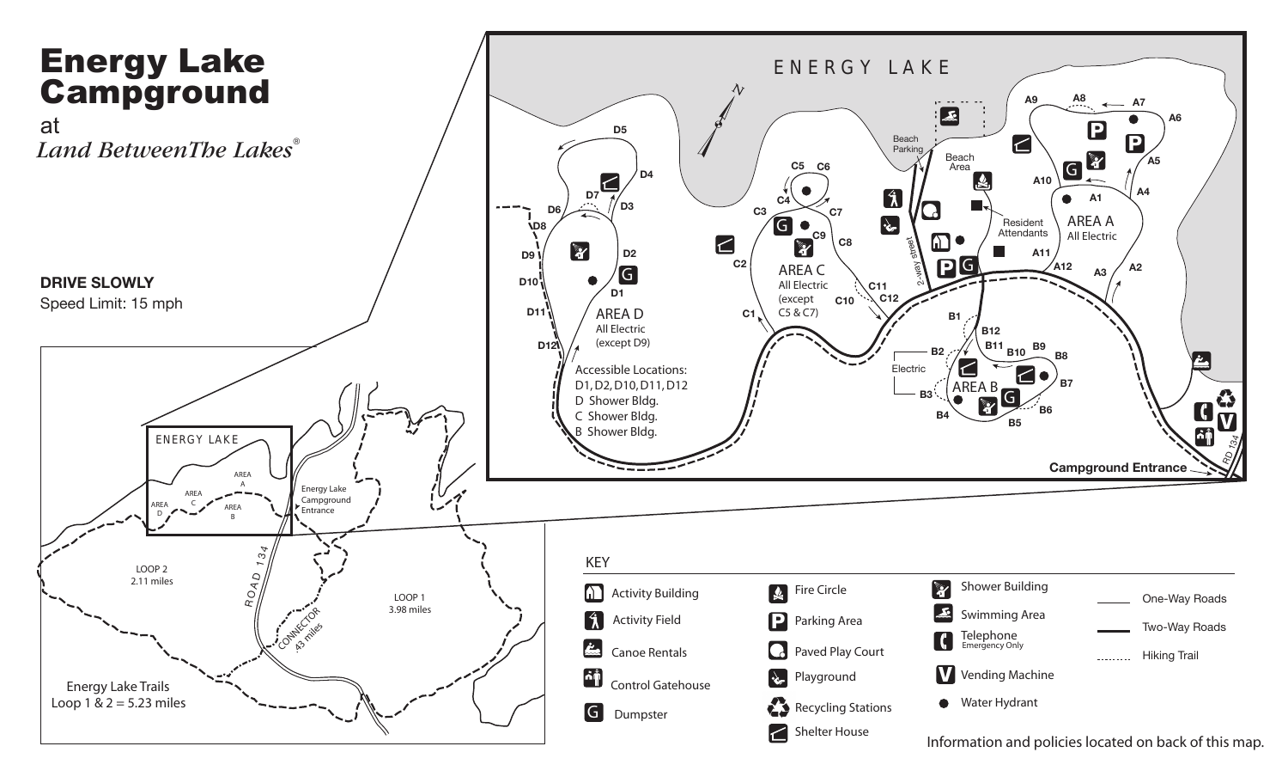